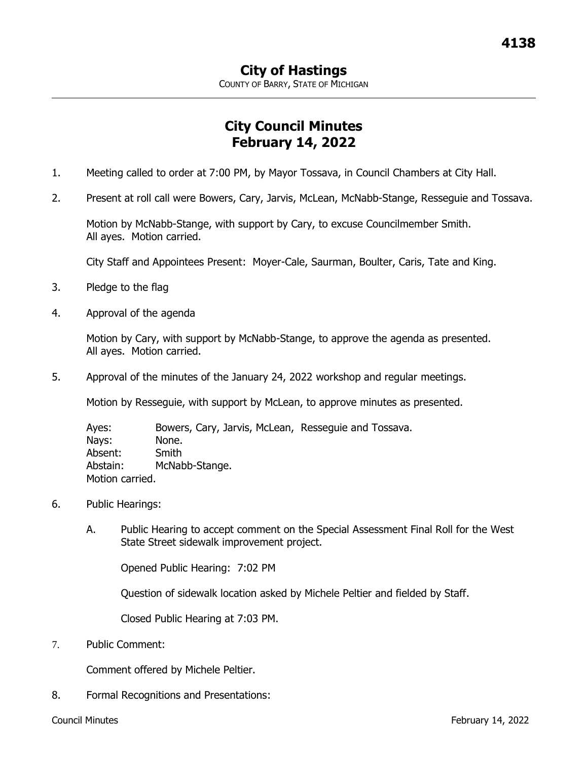COUNTY OF BARRY, STATE OF MICHIGAN

## **City Council Minutes February 14, 2022**

- 1. Meeting called to order at 7:00 PM, by Mayor Tossava, in Council Chambers at City Hall.
- 2. Present at roll call were Bowers, Cary, Jarvis, McLean, McNabb-Stange, Resseguie and Tossava.

Motion by McNabb-Stange, with support by Cary, to excuse Councilmember Smith. All ayes. Motion carried.

City Staff and Appointees Present: Moyer-Cale, Saurman, Boulter, Caris, Tate and King.

- 3. Pledge to the flag
- 4. Approval of the agenda

Motion by Cary, with support by McNabb-Stange, to approve the agenda as presented. All ayes. Motion carried.

5. Approval of the minutes of the January 24, 2022 workshop and regular meetings.

Motion by Resseguie, with support by McLean, to approve minutes as presented.

Ayes: Bowers, Cary, Jarvis, McLean, Resseguie and Tossava. Nays: None. Absent: Smith Abstain: McNabb-Stange. Motion carried.

- 6. Public Hearings:
	- A. Public Hearing to accept comment on the Special Assessment Final Roll for the West State Street sidewalk improvement project.

Opened Public Hearing: 7:02 PM

Question of sidewalk location asked by Michele Peltier and fielded by Staff.

Closed Public Hearing at 7:03 PM.

7. Public Comment:

Comment offered by Michele Peltier.

8. Formal Recognitions and Presentations: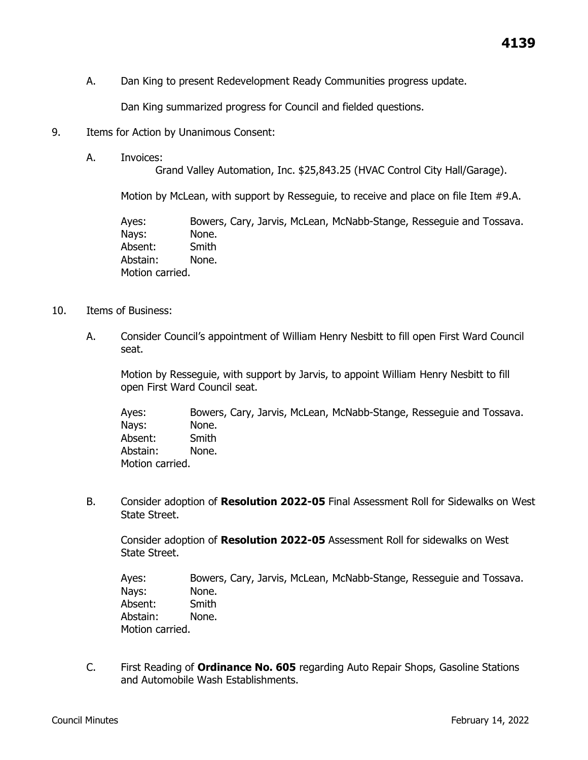A. Dan King to present Redevelopment Ready Communities progress update.

Dan King summarized progress for Council and fielded questions.

- 9. Items for Action by Unanimous Consent:
	- A. Invoices:

Grand Valley Automation, Inc. \$25,843.25 (HVAC Control City Hall/Garage).

Motion by McLean, with support by Resseguie, to receive and place on file Item #9.A.

Ayes: Bowers, Cary, Jarvis, McLean, McNabb-Stange, Resseguie and Tossava. Nays: None. Absent: Smith Abstain: None. Motion carried.

- 10. Items of Business:
	- A. Consider Council's appointment of William Henry Nesbitt to fill open First Ward Council seat.

Motion by Resseguie, with support by Jarvis, to appoint William Henry Nesbitt to fill open First Ward Council seat.

Ayes: Bowers, Cary, Jarvis, McLean, McNabb-Stange, Resseguie and Tossava. Nays: None. Absent: Smith Abstain: None. Motion carried.

B. Consider adoption of **Resolution 2022-05** Final Assessment Roll for Sidewalks on West State Street.

Consider adoption of **Resolution 2022-05** Assessment Roll for sidewalks on West State Street.

Ayes: Bowers, Cary, Jarvis, McLean, McNabb-Stange, Resseguie and Tossava. Nays: None. Absent: Smith Abstain: None. Motion carried.

C. First Reading of **Ordinance No. 605** regarding Auto Repair Shops, Gasoline Stations and Automobile Wash Establishments.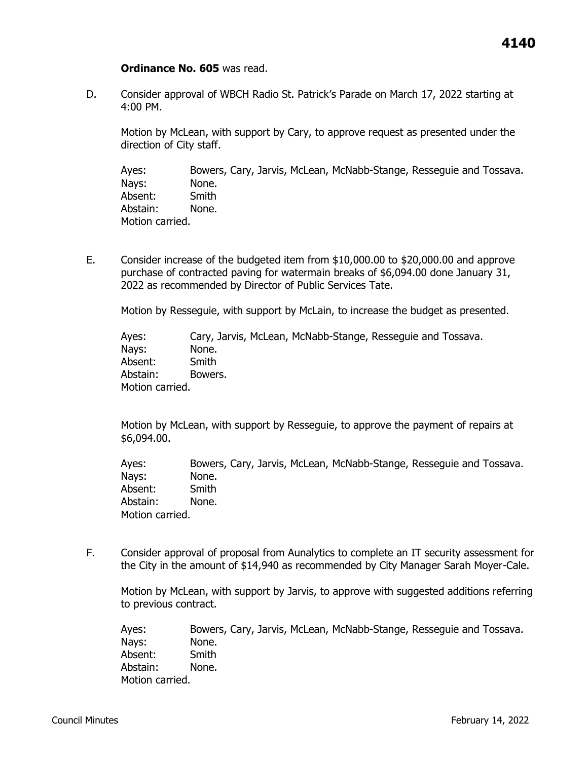## **Ordinance No. 605** was read.

D. Consider approval of WBCH Radio St. Patrick's Parade on March 17, 2022 starting at 4:00 PM.

Motion by McLean, with support by Cary, to approve request as presented under the direction of City staff.

Ayes: Bowers, Cary, Jarvis, McLean, McNabb-Stange, Resseguie and Tossava. Nays: None. Absent: Smith Abstain: None. Motion carried.

E. Consider increase of the budgeted item from \$10,000.00 to \$20,000.00 and approve purchase of contracted paving for watermain breaks of \$6,094.00 done January 31, 2022 as recommended by Director of Public Services Tate.

Motion by Resseguie, with support by McLain, to increase the budget as presented.

Ayes: Cary, Jarvis, McLean, McNabb-Stange, Resseguie and Tossava. Nays: None. Absent: Smith Abstain: Bowers. Motion carried.

Motion by McLean, with support by Resseguie, to approve the payment of repairs at \$6,094.00.

Ayes: Bowers, Cary, Jarvis, McLean, McNabb-Stange, Resseguie and Tossava. Nays: None. Absent: Smith Abstain: None. Motion carried.

F. Consider approval of proposal from Aunalytics to complete an IT security assessment for the City in the amount of \$14,940 as recommended by City Manager Sarah Moyer-Cale.

Motion by McLean, with support by Jarvis, to approve with suggested additions referring to previous contract.

Ayes: Bowers, Cary, Jarvis, McLean, McNabb-Stange, Resseguie and Tossava. Nays: None. Absent: Smith Abstain: None. Motion carried.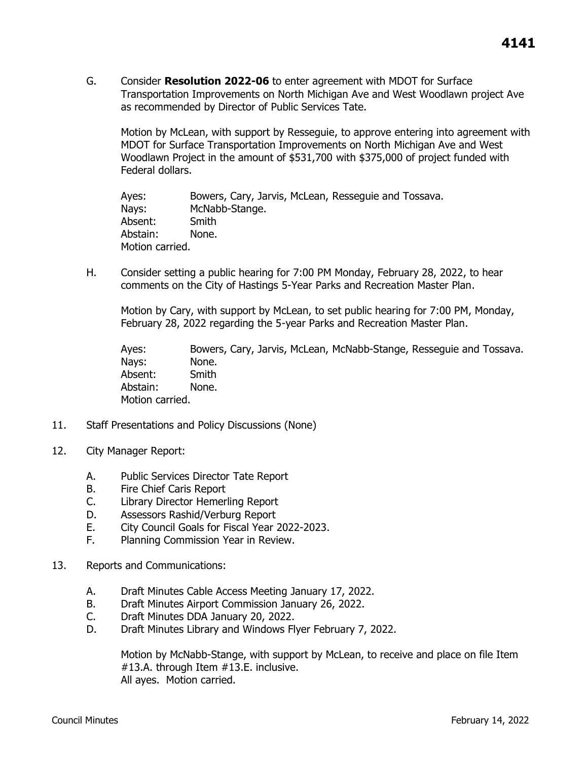G. Consider **Resolution 2022-06** to enter agreement with MDOT for Surface Transportation Improvements on North Michigan Ave and West Woodlawn project Ave as recommended by Director of Public Services Tate.

Motion by McLean, with support by Resseguie, to approve entering into agreement with MDOT for Surface Transportation Improvements on North Michigan Ave and West Woodlawn Project in the amount of \$531,700 with \$375,000 of project funded with Federal dollars.

Ayes: Bowers, Cary, Jarvis, McLean, Resseguie and Tossava. Nays: McNabb-Stange. Absent: Smith Abstain: None. Motion carried.

H. Consider setting a public hearing for 7:00 PM Monday, February 28, 2022, to hear comments on the City of Hastings 5-Year Parks and Recreation Master Plan.

Motion by Cary, with support by McLean, to set public hearing for 7:00 PM, Monday, February 28, 2022 regarding the 5-year Parks and Recreation Master Plan.

Ayes: Bowers, Cary, Jarvis, McLean, McNabb-Stange, Resseguie and Tossava. Nays: None. Absent: Smith Abstain: None. Motion carried.

- 11. Staff Presentations and Policy Discussions (None)
- 12. City Manager Report:
	- A. Public Services Director Tate Report
	- B. Fire Chief Caris Report
	- C. Library Director Hemerling Report
	- D. Assessors Rashid/Verburg Report
	- E. City Council Goals for Fiscal Year 2022-2023.
	- F. Planning Commission Year in Review.
- 13. Reports and Communications:
	- A. Draft Minutes Cable Access Meeting January 17, 2022.
	- B. Draft Minutes Airport Commission January 26, 2022.
	- C. Draft Minutes DDA January 20, 2022.
	- D. Draft Minutes Library and Windows Flyer February 7, 2022.

Motion by McNabb-Stange, with support by McLean, to receive and place on file Item #13.A. through Item #13.E. inclusive. All ayes. Motion carried.